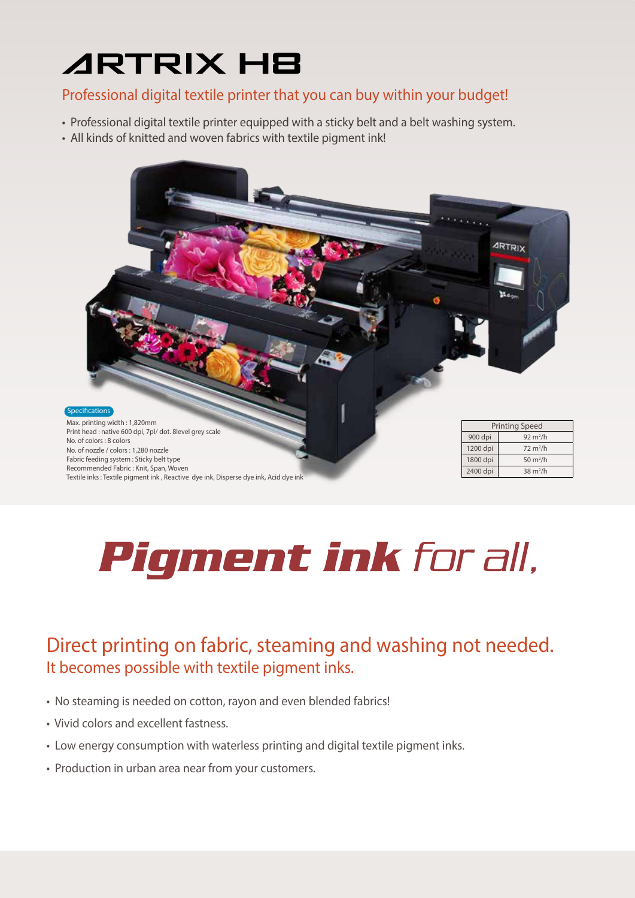## **ARTRIX HB**

#### Professional digital textile printer that you can buy within your budget!

- Professional digital textile printer equipped with a sticky belt and a belt washing system.
- All kinds of knitted and woven fabrics with textile pigment ink!



# Pigment ink for all,

### Direct printing on fabric, steaming and washing not needed. It becomes possible with textile pigment inks.

- No steaming is needed on cotton, rayon and even blended fabrics!
- Vivid colors and excellent fastness.
- Low energy consumption with waterless printing and digital textile pigment inks.
- Production in urban area near from your customers.